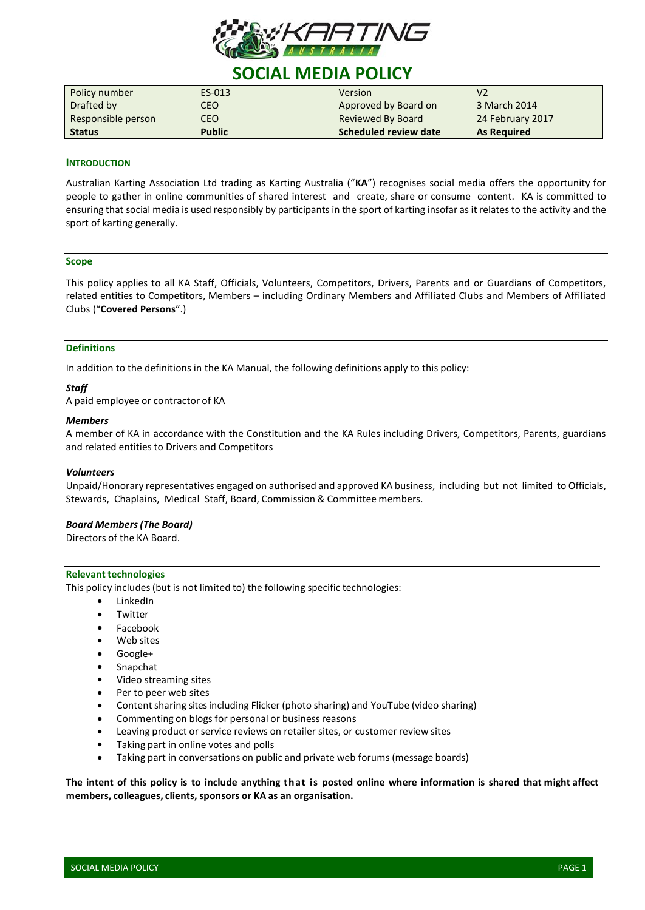

# **SOCIAL MEDIA POLICY**

| Policy number      | ES-013        | Version               | V <sub>2</sub>     |
|--------------------|---------------|-----------------------|--------------------|
| Drafted by         | CEO           | Approved by Board on  | 3 March 2014       |
| Responsible person | CEO.          | Reviewed By Board     | 24 February 2017   |
| <b>Status</b>      | <b>Public</b> | Scheduled review date | <b>As Required</b> |

# **INTRODUCTION**

Australian Karting Association Ltd trading as Karting Australia ("**KA**") recognises social media offers the opportunity for people to gather in online communities of shared interest and create, share or consume content. KA is committed to ensuring that social media is used responsibly by participants in the sport of karting insofar as it relates to the activity and the sport of karting generally.

#### **Scope**

This policy applies to all KA Staff, Officials, Volunteers, Competitors, Drivers, Parents and or Guardians of Competitors, related entities to Competitors, Members – including Ordinary Members and Affiliated Clubs and Members of Affiliated Clubs ("**Covered Persons**".)

# **Definitions**

In addition to the definitions in the KA Manual, the following definitions apply to this policy:

# *Staff*

A paid employee or contractor of KA

#### *Members*

A member of KA in accordance with the Constitution and the KA Rules including Drivers, Competitors, Parents, guardians and related entities to Drivers and Competitors

#### *Volunteers*

Unpaid/Honorary representatives engaged on authorised and approved KA business, including but not limited to Officials, Stewards, Chaplains, Medical Staff, Board, Commission & Committee members.

# *Board Members(The Board)*

Directors of the KA Board.

#### **Relevant technologies**

This policy includes (but is not limited to) the following specific technologies:

- LinkedIn
- Twitter
- Facebook
- Web sites
- Google+
- Snapchat
- Video streaming sites
- Per to peer web sites
- Content sharing sites including Flicker (photo sharing) and YouTube (video sharing)
- Commenting on blogs for personal or business reasons
- Leaving product or service reviews on retailer sites, or customer review sites
- Taking part in online votes and polls
- Taking part in conversations on public and private web forums (message boards)

The intent of this policy is to include anything that is posted online where information is shared that might affect **members, colleagues, clients, sponsors or KA as an organisation.**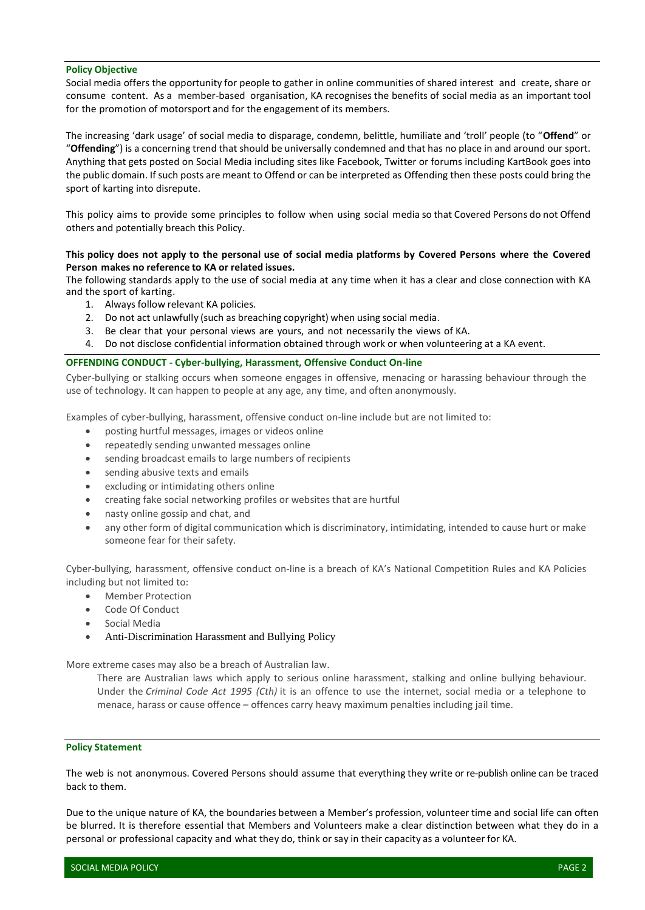# **Policy Objective**

Social media offers the opportunity for people to gather in online communities of shared interest and create, share or consume content. As a member-based organisation, KA recognises the benefits of social media as an important tool for the promotion of motorsport and for the engagement of its members.

The increasing 'dark usage' of social media to disparage, condemn, belittle, humiliate and 'troll' people (to "**Offend**" or "**Offending**") is a concerning trend that should be universally condemned and that has no place in and around our sport. Anything that gets posted on Social Media including sites like Facebook, Twitter or forums including KartBook goes into the public domain. If such posts are meant to Offend or can be interpreted as Offending then these posts could bring the sport of karting into disrepute.

This policy aims to provide some principles to follow when using social media so that Covered Persons do not Offend others and potentially breach this Policy.

# **This policy does not apply to the personal use of social media platforms by Covered Persons where the Covered Person makes no reference to KA or related issues.**

The following standards apply to the use of social media at any time when it has a clear and close connection with KA and the sport of karting.

- 1. Always follow relevant KA policies.
- 2. Do not act unlawfully (such as breaching copyright) when using social media.
- 3. Be clear that your personal views are yours, and not necessarily the views of KA.
- 4. Do not disclose confidential information obtained through work or when volunteering at a KA event.

# **OFFENDING CONDUCT - Cyber-bullying, Harassment, Offensive Conduct On-line**

Cyber-bullying or stalking occurs when someone engages in offensive, menacing or harassing behaviour through the use of technology. It can happen to people at any age, any time, and often anonymously.

Examples of cyber-bullying, harassment, offensive conduct on-line include but are not limited to:

- posting hurtful messages, images or videos online
- repeatedly sending unwanted messages online
- sending broadcast emails to large numbers of recipients
- sending abusive texts and emails
- excluding or intimidating others online
- creating fake social networking profiles or websites that are hurtful
- nasty online gossip and chat, and
- any other form of digital communication which is discriminatory, intimidating, intended to cause hurt or make someone fear for their safety.

Cyber-bullying, harassment, offensive conduct on-line is a breach of KA's National Competition Rules and KA Policies including but not limited to:

- Member Protection
- Code Of Conduct
- Social Media
- Anti-Discrimination Harassment and Bullying Policy

More extreme cases may also be a breach of Australian law.

There are Australian laws which apply to serious online harassment, stalking and online bullying behaviour. Under the *Criminal Code Act 1995 (Cth)* it is an offence to use the internet, social media or a telephone to menace, harass or cause offence – offences carry heavy maximum penalties including jail time.

#### **Policy Statement**

The web is not anonymous. Covered Persons should assume that everything they write or re-publish online can be traced back to them.

Due to the unique nature of KA, the boundaries between a Member's profession, volunteer time and social life can often be blurred. It is therefore essential that Members and Volunteers make a clear distinction between what they do in a personal or professional capacity and what they do, think or say in their capacity as a volunteer for KA.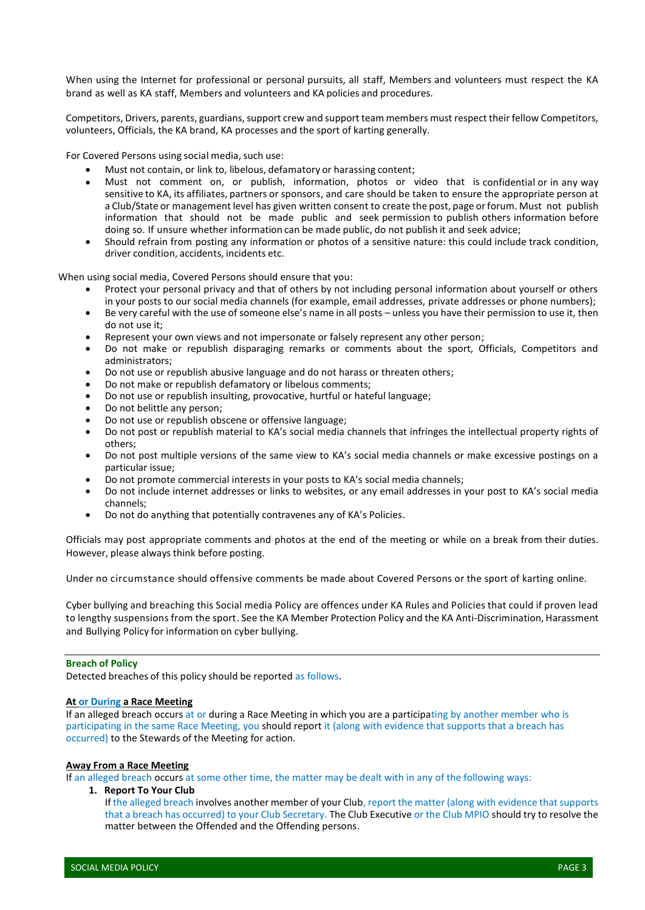When using the Internet for professional or personal pursuits, all staff, Members and volunteers must respect the KA brand as well as KA staff, Members and volunteers and KA policies and procedures.

Competitors, Drivers, parents, guardians, support crew and support team members must respect their fellow Competitors, volunteers, Officials, the KA brand, KA processes and the sport of karting generally.

For Covered Persons using social media, such use:

- Must not contain, or link to, libelous, defamatory or harassing content;
- Must not comment on, or publish, information, photos or video that is confidential or in any way sensitive to KA, its affiliates, partners or sponsors, and care should be taken to ensure the appropriate person at a Club/State or management level has given written consent to create the post, page orforum. Must not publish information that should not be made public and seek permission to publish others information before doing so. If unsure whether information can be made public, do not publish it and seek advice;
- Should refrain from posting any information or photos of a sensitive nature: this could include track condition, driver condition, accidents, incidents etc.

When using social media, Covered Persons should ensure that you:

- Protect your personal privacy and that of others by not including personal information about yourself or others in your posts to our social media channels (for example, email addresses, private addresses or phone numbers);
- Be very careful with the use of someone else's name in all posts unless you have their permission to use it, then do not use it;
- Represent your own views and not impersonate or falsely represent any other person;
- Do not make or republish disparaging remarks or comments about the sport, Officials, Competitors and administrators;
- Do not use or republish abusive language and do not harass or threaten others;
- Do not make or republish defamatory or libelous comments;
- Do not use or republish insulting, provocative, hurtful or hateful language;
- Do not belittle any person;
- Do not use or republish obscene or offensive language;
- Do not post or republish material to KA's social media channels that infringes the intellectual property rights of others;
- Do not post multiple versions of the same view to KA's social media channels or make excessive postings on a particular issue;
- Do not promote commercial interests in your posts to KA's social media channels;
- Do not include internet addresses or links to websites, or any email addresses in your post to KA's social media channels;
- Do not do anything that potentially contravenes any of KA's Policies.

Officials may post appropriate comments and photos at the end of the meeting or while on a break from their duties. However, please always think before posting.

Under no circumstance should offensive comments be made about Covered Persons or the sport of karting online.

Cyber bullying and breaching this Social media Policy are offences under KA Rules and Policies that could if proven lead to lengthy suspensions from the sport. See the KA Member Protection Policy and the KA Anti-Discrimination, Harassment and Bullying Policy for information on cyber bullying.

#### **Breach of Policy**

Detected breaches of this policy should be reported as follows.

#### **At or During a Race Meeting**

If an alleged breach occurs at or during a Race Meeting in which you are a participating by another member who is participating in the same Race Meeting, you should report it (along with evidence that supports that a breach has occurred) to the Stewards of the Meeting for action.

#### **Away From a Race Meeting**

If an alleged breach occurs at some other time, the matter may be dealt with in any of the following ways:

# **1. Report To Your Club**

If the alleged breach involves another member of your Club, report the matter (along with evidence that supports that a breach has occurred) to your Club Secretary. The Club Executive or the Club MPIO should try to resolve the matter between the Offended and the Offending persons.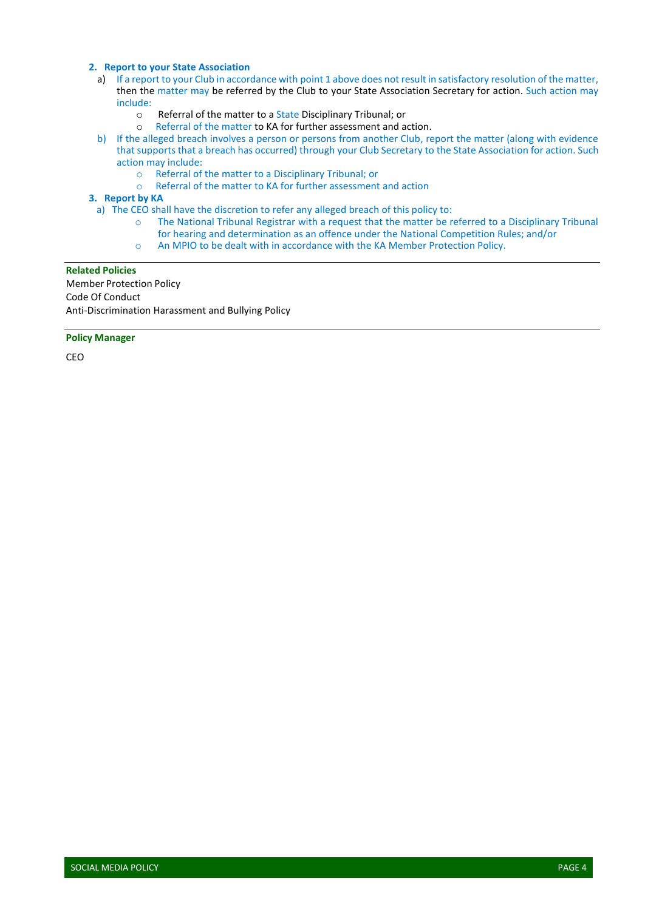# **2. Report to your State Association**

- a) If a report to your Club in accordance with point 1 above does not result in satisfactory resolution of the matter, then the matter may be referred by the Club to your State Association Secretary for action. Such action may include:
	- o Referral of the matter to a State Disciplinary Tribunal; or <br>
	Referral of the matter to KA for further assessment and a
	- Referral of the matter to KA for further assessment and action.
- b) If the alleged breach involves a person or persons from another Club, report the matter (along with evidence that supports that a breach has occurred) through your Club Secretary to the State Association for action. Such action may include:
	- o Referral of the matter to a Disciplinary Tribunal; or
	- o Referral of the matter to KA for further assessment and action

# **3. Report by KA**

- a) The CEO shall have the discretion to refer any alleged breach of this policy to:
	- o The National Tribunal Registrar with a request that the matter be referred to a Disciplinary Tribunal for hearing and determination as an offence under the National Competition Rules; and/or
		- o An MPIO to be dealt with in accordance with the KA Member Protection Policy.

# **Related Policies**

Member Protection Policy Code Of Conduct Anti-Discrimination Harassment and Bullying Policy

# **Policy Manager**

CEO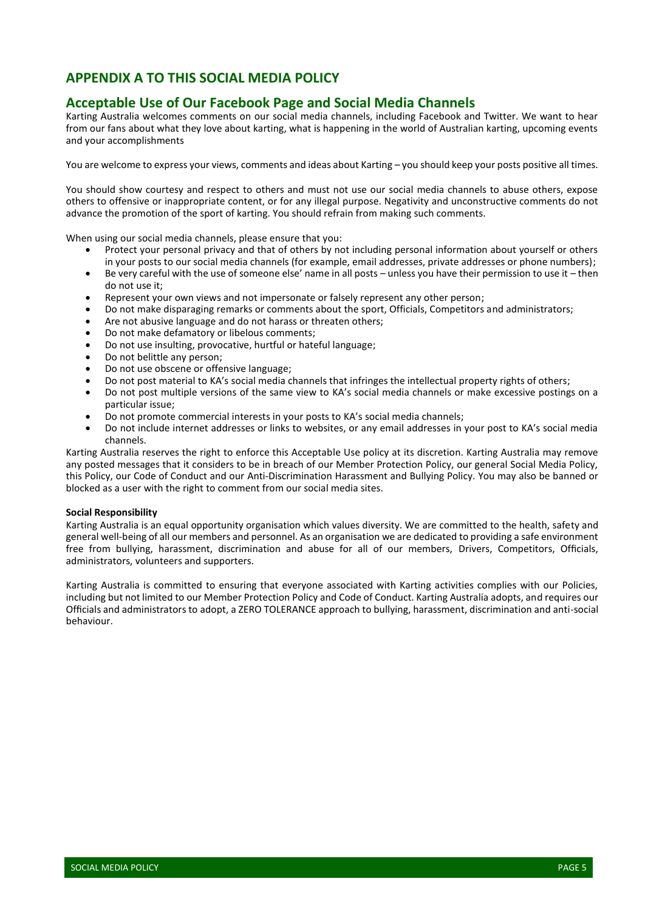# **APPENDIX A TO THIS SOCIAL MEDIA POLICY**

# **Acceptable Use of Our Facebook Page and Social Media Channels**

Karting Australia welcomes comments on our social media channels, including Facebook and Twitter. We want to hear from our fans about what they love about karting, what is happening in the world of Australian karting, upcoming events and your accomplishments

You are welcome to express your views, comments and ideas about Karting – you should keep your posts positive all times.

You should show courtesy and respect to others and must not use our social media channels to abuse others, expose others to offensive or inappropriate content, or for any illegal purpose. Negativity and unconstructive comments do not advance the promotion of the sport of karting. You should refrain from making such comments.

When using our social media channels, please ensure that you:

- Protect your personal privacy and that of others by not including personal information about yourself or others in your posts to our social media channels (for example, email addresses, private addresses or phone numbers);
- Be very careful with the use of someone else' name in all posts unless you have their permission to use it then do not use it;
- Represent your own views and not impersonate or falsely represent any other person;
- Do not make disparaging remarks or comments about the sport, Officials, Competitors and administrators;
- Are not abusive language and do not harass or threaten others;
- Do not make defamatory or libelous comments;
- Do not use insulting, provocative, hurtful or hateful language;
- Do not belittle any person;
- Do not use obscene or offensive language;
- Do not post material to KA's social media channels that infringes the intellectual property rights of others;
- Do not post multiple versions of the same view to KA's social media channels or make excessive postings on a particular issue;
- Do not promote commercial interests in your posts to KA's social media channels;
- Do not include internet addresses or links to websites, or any email addresses in your post to KA's social media channels.

Karting Australia reserves the right to enforce this Acceptable Use policy at its discretion. Karting Australia may remove any posted messages that it considers to be in breach of our Member Protection Policy, our general Social Media Policy, this Policy, our Code of Conduct and our Anti-Discrimination Harassment and Bullying Policy. You may also be banned or blocked as a user with the right to comment from our social media sites.

#### **Social Responsibility**

Karting Australia is an equal opportunity organisation which values diversity. We are committed to the health, safety and general well-being of all our members and personnel. As an organisation we are dedicated to providing a safe environment free from bullying, harassment, discrimination and abuse for all of our members, Drivers, Competitors, Officials, administrators, volunteers and supporters.

Karting Australia is committed to ensuring that everyone associated with Karting activities complies with our Policies, including but not limited to our Member Protection Policy and Code of Conduct. Karting Australia adopts, and requires our Officials and administrators to adopt, a ZERO TOLERANCE approach to bullying, harassment, discrimination and anti-social behaviour.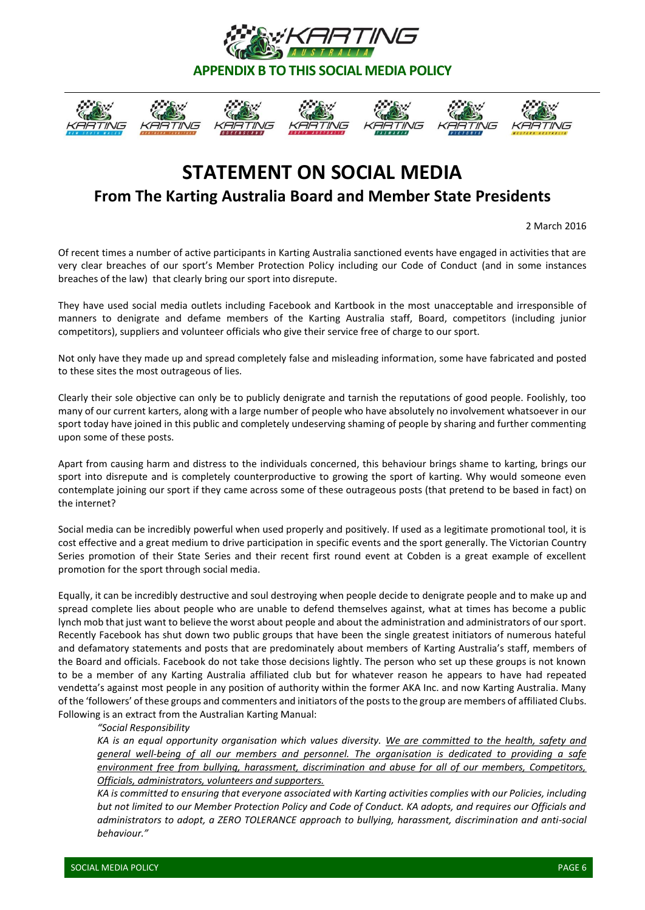



# **STATEMENT ON SOCIAL MEDIA From The Karting Australia Board and Member State Presidents**

2 March 2016

Of recent times a number of active participants in Karting Australia sanctioned events have engaged in activities that are very clear breaches of our sport's Member Protection Policy including our Code of Conduct (and in some instances breaches of the law) that clearly bring our sport into disrepute.

They have used social media outlets including Facebook and Kartbook in the most unacceptable and irresponsible of manners to denigrate and defame members of the Karting Australia staff, Board, competitors (including junior competitors), suppliers and volunteer officials who give their service free of charge to our sport.

Not only have they made up and spread completely false and misleading information, some have fabricated and posted to these sites the most outrageous of lies.

Clearly their sole objective can only be to publicly denigrate and tarnish the reputations of good people. Foolishly, too many of our current karters, along with a large number of people who have absolutely no involvement whatsoever in our sport today have joined in this public and completely undeserving shaming of people by sharing and further commenting upon some of these posts.

Apart from causing harm and distress to the individuals concerned, this behaviour brings shame to karting, brings our sport into disrepute and is completely counterproductive to growing the sport of karting. Why would someone even contemplate joining our sport if they came across some of these outrageous posts (that pretend to be based in fact) on the internet?

Social media can be incredibly powerful when used properly and positively. If used as a legitimate promotional tool, it is cost effective and a great medium to drive participation in specific events and the sport generally. The Victorian Country Series promotion of their State Series and their recent first round event at Cobden is a great example of excellent promotion for the sport through social media.

Equally, it can be incredibly destructive and soul destroying when people decide to denigrate people and to make up and spread complete lies about people who are unable to defend themselves against, what at times has become a public lynch mob that just want to believe the worst about people and about the administration and administrators of our sport. Recently Facebook has shut down two public groups that have been the single greatest initiators of numerous hateful and defamatory statements and posts that are predominately about members of Karting Australia's staff, members of the Board and officials. Facebook do not take those decisions lightly. The person who set up these groups is not known to be a member of any Karting Australia affiliated club but for whatever reason he appears to have had repeated vendetta's against most people in any position of authority within the former AKA Inc. and now Karting Australia. Many of the 'followers' of these groups and commenters and initiators of the posts to the group are members of affiliated Clubs. Following is an extract from the Australian Karting Manual:

*"Social Responsibility*

*KA is an equal opportunity organisation which values diversity. We are committed to the health, safety and general well-being of all our members and personnel. The organisation is dedicated to providing a safe environment free from bullying, harassment, discrimination and abuse for all of our members, Competitors, Officials, administrators, volunteers and supporters.*

*KA is committed to ensuring that everyone associated with Karting activities complies with our Policies, including but not limited to our Member Protection Policy and Code of Conduct. KA adopts, and requires our Officials and administrators to adopt, a ZERO TOLERANCE approach to bullying, harassment, discrimination and anti-social behaviour."*